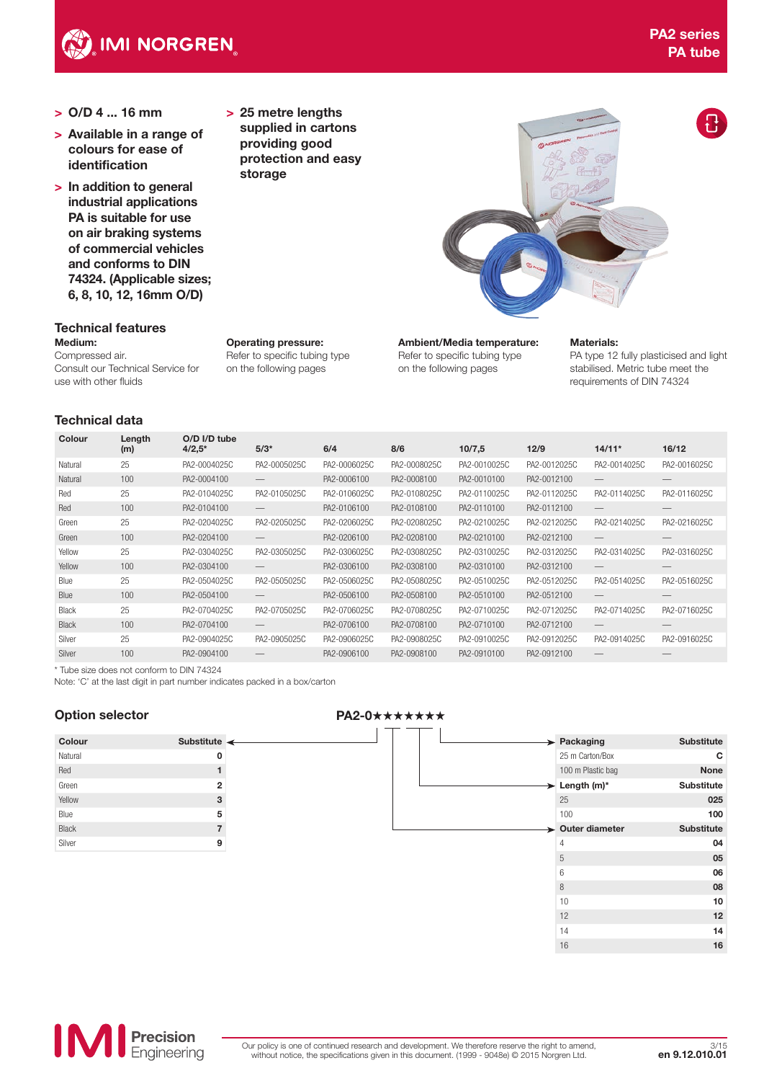

- > O/D 4 ... 16 mm
- > Available in a range of colours for ease of identification
- > In addition to general industrial applications PA is suitable for use on air braking systems of commercial vehicles and conforms to DIN 74324. (Applicable sizes; 6, 8, 10, 12, 16mm O/D)

#### Technical features Medium:

Compressed air. Consult our Technical Service for use with other fluids

# Operating pressure: Refer to specific tubing type on the following pages

> 25 metre lengths supplied in cartons providing good protection and easy

storage

Ambient/Media temperature:

Refer to specific tubing type on the following pages

# Materials:

PA type 12 fully plasticised and light stabilised. Metric tube meet the requirements of DIN 74324

# Technical data

| Colour       | Length<br>(m) | $O/D$ I/D tube<br>$4/2,5*$ | $5/3*$       | 6/4          | 8/6          | 10/7,5       | 12/9         | $14/11*$                        | 16/12                           |
|--------------|---------------|----------------------------|--------------|--------------|--------------|--------------|--------------|---------------------------------|---------------------------------|
| Natural      | 25            | PA2-0004025C               | PA2-0005025C | PA2-0006025C | PA2-0008025C | PA2-0010025C | PA2-0012025C | PA2-0014025C                    | PA2-0016025C                    |
|              |               |                            |              |              |              |              |              |                                 |                                 |
| Natural      | 100           | PA2-0004100                |              | PA2-0006100  | PA2-0008100  | PA2-0010100  | PA2-0012100  |                                 |                                 |
| Red          | 25            | PA2-0104025C               | PA2-0105025C | PA2-0106025C | PA2-0108025C | PA2-0110025C | PA2-0112025C | PA2-0114025C                    | PA2-0116025C                    |
| Red          | 100           | PA2-0104100                |              | PA2-0106100  | PA2-0108100  | PA2-0110100  | PA2-0112100  | $\hspace{0.1mm}-\hspace{0.1mm}$ | $\hspace{0.1mm}-\hspace{0.1mm}$ |
| Green        | 25            | PA2-0204025C               | PA2-0205025C | PA2-0206025C | PA2-0208025C | PA2-0210025C | PA2-0212025C | PA2-0214025C                    | PA2-0216025C                    |
| Green        | 100           | PA2-0204100                |              | PA2-0206100  | PA2-0208100  | PA2-0210100  | PA2-0212100  | $\hspace{0.1mm}-\hspace{0.1mm}$ |                                 |
| Yellow       | 25            | PA2-0304025C               | PA2-0305025C | PA2-0306025C | PA2-0308025C | PA2-0310025C | PA2-0312025C | PA2-0314025C                    | PA2-0316025C                    |
| Yellow       | 100           | PA2-0304100                |              | PA2-0306100  | PA2-0308100  | PA2-0310100  | PA2-0312100  | $\hspace{0.1mm}-\hspace{0.1mm}$ |                                 |
| Blue         | 25            | PA2-0504025C               | PA2-0505025C | PA2-0506025C | PA2-0508025C | PA2-0510025C | PA2-0512025C | PA2-0514025C                    | PA2-0516025C                    |
| Blue         | 100           | PA2-0504100                |              | PA2-0506100  | PA2-0508100  | PA2-0510100  | PA2-0512100  | $\hspace{0.1mm}-\hspace{0.1mm}$ |                                 |
| Black        | 25            | PA2-0704025C               | PA2-0705025C | PA2-0706025C | PA2-0708025C | PA2-0710025C | PA2-0712025C | PA2-0714025C                    | PA2-0716025C                    |
| <b>Black</b> | 100           | PA2-0704100                |              | PA2-0706100  | PA2-0708100  | PA2-0710100  | PA2-0712100  | $\overline{\phantom{m}}$        |                                 |
| Silver       | 25            | PA2-0904025C               | PA2-0905025C | PA2-0906025C | PA2-0908025C | PA2-0910025C | PA2-0912025C | PA2-0914025C                    | PA2-0916025C                    |
| Silver       | 100           | PA2-0904100                |              | PA2-0906100  | PA2-0908100  | PA2-0910100  | PA2-0912100  |                                 |                                 |

\* Tube size does not conform to DIN 74324

Note: 'C' at the last digit in part number indicates packed in a box/carton

| Colour       | <b>Substitute</b> | ← |
|--------------|-------------------|---|
| Natural      | O                 |   |
| Red          | 1                 |   |
| Green        | $\overline{2}$    |   |
| Yellow       | 3                 |   |
| Blue         | 5                 |   |
| <b>Black</b> | $\overline{7}$    |   |
| Silver       | g                 |   |

# Option selector **PA2-0**★★★★★★★

| <b>Substitute</b> | Packaging<br>➤                    |
|-------------------|-----------------------------------|
| С                 | 25 m Carton/Box                   |
| <b>None</b>       | 100 m Plastic bag                 |
| <b>Substitute</b> | $\blacktriangleright$ Length (m)* |
| 025               | 25                                |
| 100               | 100                               |
| <b>Substitute</b> | $\rightarrow$ Outer diameter      |
| 04                | $\overline{4}$                    |
| 05                | 5                                 |
| 06                | 6                                 |
| 08                | 8                                 |
| 10                | 10                                |
| 12                | 12                                |
| 14                | 14                                |
| 16                | 16                                |
|                   |                                   |